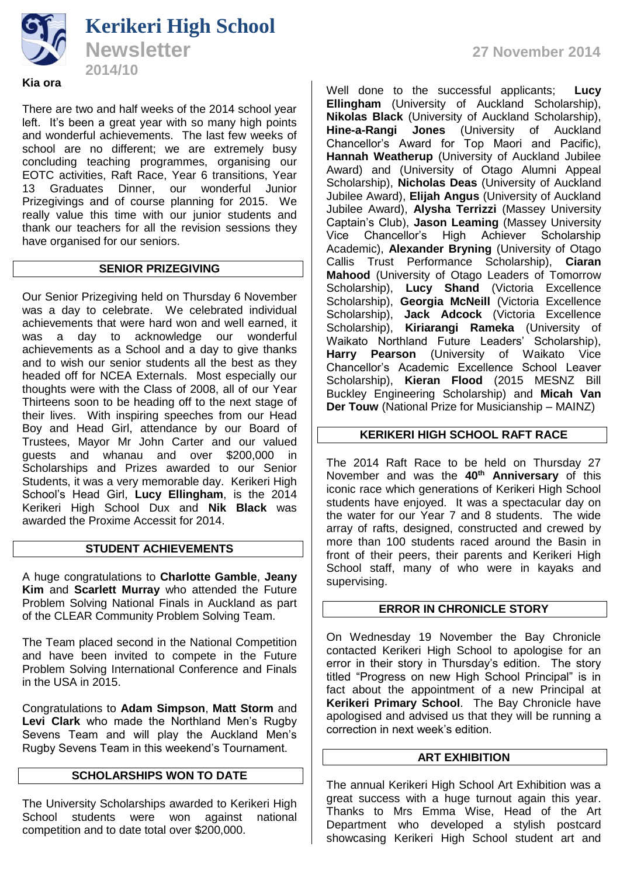

There are two and half weeks of the 2014 school year left. It's been a great year with so many high points and wonderful achievements. The last few weeks of school are no different; we are extremely busy concluding teaching programmes, organising our EOTC activities, Raft Race, Year 6 transitions, Year 13 Graduates Dinner, our wonderful Junior Prizegivings and of course planning for 2015. We really value this time with our junior students and thank our teachers for all the revision sessions they have organised for our seniors.

# **SENIOR PRIZEGIVING**

Our Senior Prizegiving held on Thursday 6 November was a day to celebrate. We celebrated individual achievements that were hard won and well earned, it was a day to acknowledge our wonderful achievements as a School and a day to give thanks and to wish our senior students all the best as they headed off for NCEA Externals. Most especially our thoughts were with the Class of 2008, all of our Year Thirteens soon to be heading off to the next stage of their lives. With inspiring speeches from our Head Boy and Head Girl, attendance by our Board of Trustees, Mayor Mr John Carter and our valued guests and whanau and over \$200,000 in Scholarships and Prizes awarded to our Senior Students, it was a very memorable day. Kerikeri High School's Head Girl, **Lucy Ellingham**, is the 2014 Kerikeri High School Dux and **Nik Black** was awarded the Proxime Accessit for 2014.

# **STUDENT ACHIEVEMENTS**

A huge congratulations to **Charlotte Gamble**, **Jeany Kim** and **Scarlett Murray** who attended the Future Problem Solving National Finals in Auckland as part of the CLEAR Community Problem Solving Team.

The Team placed second in the National Competition and have been invited to compete in the Future Problem Solving International Conference and Finals in the USA in 2015.

Congratulations to **Adam Simpson**, **Matt Storm** and **Levi Clark** who made the Northland Men's Rugby Sevens Team and will play the Auckland Men's Rugby Sevens Team in this weekend's Tournament.

### **SCHOLARSHIPS WON TO DATE**

The University Scholarships awarded to Kerikeri High School students were won against national competition and to date total over \$200,000.

Well done to the successful applicants; **Lucy Ellingham** (University of Auckland Scholarship), **Nikolas Black** (University of Auckland Scholarship), **Hine-a-Rangi Jones** (University of Auckland Chancellor's Award for Top Maori and Pacific), **Hannah Weatherup** (University of Auckland Jubilee Award) and (University of Otago Alumni Appeal Scholarship), **Nicholas Deas** (University of Auckland Jubilee Award), **Elijah Angus** (University of Auckland Jubilee Award), **Alysha Terrizzi** (Massey University Captain's Club), **Jason Leaming** (Massey University Vice Chancellor's High Achiever Scholarship Academic), **Alexander Bryning** (University of Otago Callis Trust Performance Scholarship), **Ciaran Mahood** (University of Otago Leaders of Tomorrow Scholarship), **Lucy Shand** (Victoria Excellence Scholarship), **Georgia McNeill** (Victoria Excellence Scholarship), **Jack Adcock** (Victoria Excellence Scholarship), **Kiriarangi Rameka** (University of Waikato Northland Future Leaders' Scholarship), **Harry Pearson** (University of Waikato Vice Chancellor's Academic Excellence School Leaver Scholarship), **Kieran Flood** (2015 MESNZ Bill Buckley Engineering Scholarship) and **Micah Van Der Touw** (National Prize for Musicianship – MAINZ)

# **KERIKERI HIGH SCHOOL RAFT RACE**

The 2014 Raft Race to be held on Thursday 27 November and was the **40th Anniversary** of this iconic race which generations of Kerikeri High School students have enjoyed. It was a spectacular day on the water for our Year 7 and 8 students. The wide array of rafts, designed, constructed and crewed by more than 100 students raced around the Basin in front of their peers, their parents and Kerikeri High School staff, many of who were in kayaks and supervising.

### **ERROR IN CHRONICLE STORY**

On Wednesday 19 November the Bay Chronicle contacted Kerikeri High School to apologise for an error in their story in Thursday's edition. The story titled "Progress on new High School Principal" is in fact about the appointment of a new Principal at **Kerikeri Primary School**. The Bay Chronicle have apologised and advised us that they will be running a correction in next week's edition.

### **ART EXHIBITION**

The annual Kerikeri High School Art Exhibition was a great success with a huge turnout again this year. Thanks to Mrs Emma Wise, Head of the Art Department who developed a stylish postcard showcasing Kerikeri High School student art and